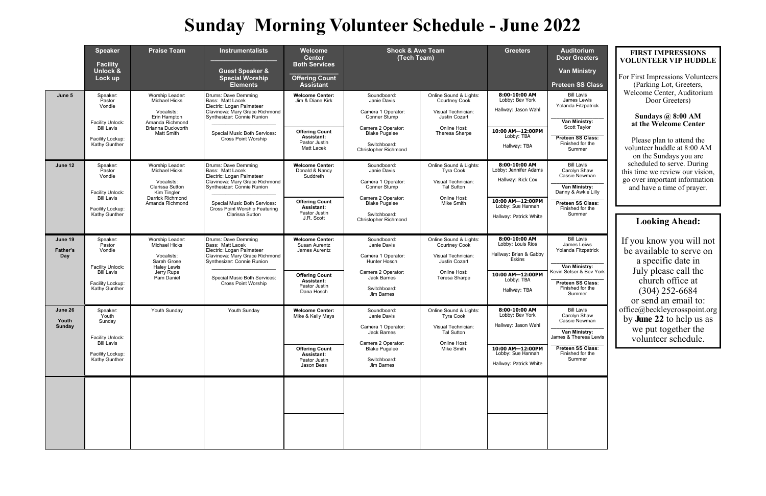**Door Greeters** 

**Van Ministry** 

**Preteen SS Class** 

Bill Lavis James Lewis landa Fitzpatrick

**\_\_\_\_\_\_\_\_\_\_\_\_\_\_\_\_\_\_\_ Van Ministry:**  Scott Taylor

**\_\_\_\_\_\_\_\_\_\_\_\_\_\_\_\_\_\_\_ Preteen SS Class:**  Finished for the Summer

**\_\_\_\_\_\_\_\_\_\_\_\_\_\_\_\_\_\_\_ Van Ministry:**  Setser & Bev York

**\_\_\_\_\_\_\_\_\_\_\_\_\_\_\_\_\_\_\_ Van Ministry:**  es & Theresa Lewis

|                                   | <b>Speaker</b><br><b>Facility</b><br>Unlock &<br>Lock up                                                   | <b>Praise Team</b>                                                                                                                        | <b>Instrumentalists</b><br><b>Guest Speaker &amp;</b><br><b>Special Worship</b><br><b>Elements</b>                                                                                                                              | Welcome<br><b>Center</b><br><b>Both Services</b><br><b>Offering Count</b><br><b>Assistant</b>                                  | <b>Shock &amp; Awe Team</b><br>(Tech Team)                                                                                                                    |                                                                                                                               | <b>Greeters</b>                                                                                                                 | <b>Auditorium</b><br><b>Door Greeter</b><br><b>Van Ministry</b><br><b>Preteen SS Cla</b>                                                               |
|-----------------------------------|------------------------------------------------------------------------------------------------------------|-------------------------------------------------------------------------------------------------------------------------------------------|---------------------------------------------------------------------------------------------------------------------------------------------------------------------------------------------------------------------------------|--------------------------------------------------------------------------------------------------------------------------------|---------------------------------------------------------------------------------------------------------------------------------------------------------------|-------------------------------------------------------------------------------------------------------------------------------|---------------------------------------------------------------------------------------------------------------------------------|--------------------------------------------------------------------------------------------------------------------------------------------------------|
| June 5                            | Speaker:<br>Pastor<br>Vondie<br>Facility Unlock:<br><b>Bill Lavis</b><br>Facility Lockup:<br>Kathy Gunther | Worship Leader:<br><b>Michael Hicks</b><br>Vocalists:<br>Erin Hampton<br>Amanda Richmond<br><b>Brianna Duckworth</b><br><b>Matt Smith</b> | Drums: Dave Demming<br>Bass: Matt Lacek<br>Electric: Logan Palmateer<br>Clavinova: Mary Grace Richmond<br>Synthesizer: Connie Runion<br>Special Music Both Services:<br><b>Cross Point Worship</b>                              | <b>Welcome Center:</b><br>Jim & Diane Kirk<br><b>Offering Count</b><br>Assistant:<br>Pastor Justin<br>Matt Lacek               | Soundboard:<br>Janie Davis<br>Camera 1 Operator:<br>Conner Stump<br>Camera 2 Operator:<br><b>Blake Pugalee</b><br>Switchboard:<br><b>Christopher Richmond</b> | Online Sound & Lights:<br>Courtney Cook<br>Visual Technician:<br>Justin Cozart<br>Online Host:<br>Theresa Sharpe              | 8:00-10:00 AM<br>Lobby: Bev York<br>Hallway: Jason Wahl<br>10:00 AM-12:00PM<br>Lobby: TBA<br>Hallway: TBA                       | <b>Bill Lavis</b><br>James Lewis<br>Yolanda Fitzpatric<br>Van Ministry:<br>Scott Taylor<br><b>Preteen SS Class</b><br>Finished for the<br>Summer       |
| June 12                           | Speaker:<br>Pastor<br>Vondie<br>Facility Unlock:<br><b>Bill Lavis</b><br>Facility Lockup:<br>Kathy Gunther | Worship Leader:<br>Michael Hicks<br>Vocalists:<br><b>Clarissa Sutton</b><br>Kim Tingler<br>Darrick Richmond<br>Amanda Richmond            | Drums: Dave Demming<br>Bass: Matt Lacek<br>Electric: Logan Palmateer<br>Clavinova: Mary Grace Richmond<br>Synthesizer: Connie Runion<br>Special Music Both Services:<br><b>Cross Point Worship Featuring</b><br>Clarissa Sutton | <b>Welcome Center:</b><br>Donald & Nancy<br>Suddreth<br><b>Offering Count</b><br>Assistant:<br>Pastor Justin<br>J.R. Scott     | Soundboard:<br>Janie Davis<br>Camera 1 Operator:<br>Conner Stump<br>Camera 2 Operator:<br><b>Blake Pugalee</b><br>Switchboard:<br>Christopher Richmond        | Online Sound & Lights:<br><b>Tyra Cook</b><br>Visual Technician:<br><b>Tal Sutton</b><br>Online Host:<br>Mike Smith           | 8:00-10:00 AM<br>Lobby: Jennifer Adams<br>Hallway: Rick Cox<br>10:00 AM-12:00PM<br>Lobby: Sue Hannah<br>Hallway: Patrick White  | Bill Lavis<br>Carolyn Shaw<br>Cassie Newman<br>Van Ministry:<br>Danny & Awkie Lil<br><b>Preteen SS Class</b><br>Finished for the<br>Summer             |
| June 19<br><b>Father's</b><br>Day | Speaker:<br>Pastor<br>Vondie<br>Facility Unlock:<br><b>Bill Lavis</b><br>Facility Lockup:<br>Kathy Gunther | Worship Leader:<br>Michael Hicks<br>Vocalists:<br>Sarah Grose<br><b>Haley Lewis</b><br>Jerry Rupe<br>Pam Daniel                           | Drums: Dave Demming<br>Bass: Matt Lacek<br>Electric: Logan Palmateer<br>Clavinova: Mary Grace Richmond<br>Synthesizer: Connie Runion<br>Special Music Both Services:<br><b>Cross Point Worship</b>                              | <b>Welcome Center:</b><br>Susan Aurentz<br>James Aurentz<br><b>Offering Count</b><br>Assistant:<br>Pastor Justin<br>Dana Hosch | Soundboard:<br>Janie Davis<br>Camera 1 Operator:<br>Hunter Hosch<br>Camera 2 Operator:<br><b>Jack Barnes</b><br>Switchboard:<br>Jim Barnes                    | Online Sound & Lights:<br><b>Courtney Cook</b><br>Visual Technician:<br><b>Justin Cozart</b><br>Online Host:<br>Teresa Sharpe | 8:00-10:00 AM<br>Lobby: Louis Rios<br>Hallway: Brian & Gabby<br><b>Eskins</b><br>10:00 AM-12:00PM<br>Lobby: TBA<br>Hallway: TBA | <b>Bill Lavis</b><br>James Leiws<br>Yolanda Fitzpatrio<br>Van Ministry:<br>Kevin Setser & Bev<br><b>Preteen SS Class</b><br>Finished for the<br>Summer |
| June 26<br>Youth<br>Sunday        | Speaker:<br>Youth<br>Sunday<br>Facility Unlock:<br><b>Bill Lavis</b><br>Facility Lockup:<br>Kathy Gunther  | Youth Sunday                                                                                                                              | Youth Sunday                                                                                                                                                                                                                    | <b>Welcome Center:</b><br>Mike & Kelly Mays<br><b>Offering Count</b><br>Assistant:<br>Pastor Justin<br>Jason Bess              | Soundboard:<br>Janie Davis<br>Camera 1 Operator:<br>Jack Barnes<br>Camera 2 Operator:<br><b>Blake Pugalee</b><br>Switchboard:<br>Jim Barnes                   | Online Sound & Lights:<br><b>Tyra Cook</b><br>Visual Technician:<br><b>Tal Sutton</b><br>Online Host:<br>Mike Smith           | 8:00-10:00 AM<br>Lobby: Bev York<br>Hallway: Jason Wahl<br>10:00 AM-12:00PM<br>Lobby: Sue Hannah<br>Hallway: Patrick White      | Bill Lavis<br>Carolyn Shaw<br>Cassie Newman<br>Van Ministry:<br>James & Theresa Le<br><b>Preteen SS Class</b><br>Finished for the<br>Summer            |
|                                   |                                                                                                            |                                                                                                                                           |                                                                                                                                                                                                                                 |                                                                                                                                |                                                                                                                                                               |                                                                                                                               |                                                                                                                                 |                                                                                                                                                        |

**\_\_\_\_\_\_\_\_\_\_\_\_\_\_\_\_\_\_\_ Van Ministry:**  Danny & Awkie Lilly

**\_\_\_\_\_\_\_\_\_\_\_\_\_\_\_\_\_\_\_ Preteen SS Class:**  inished for the Summer

Bill Lavis James Leiws Yolanda Fitzpatrick

**\_\_\_\_\_\_\_\_\_\_\_\_\_\_\_\_\_\_\_ Preteen SS Class**: Finished for the Summer

**\_\_\_\_\_\_\_\_\_\_\_\_\_\_\_\_\_\_\_ Preteen SS Class**: Finished for the Summer

## **Sunday Morning Volunteer Schedule - June 2022**

### **FIRST IMPRESSIONS VOLUNTEER VIP HUDDLE**

For First Impressions Volunteers (Parking Lot, Greeters, Welcome Center, Auditorium Door Greeters)

### **Sundays @ 8:00 AM at the Welcome Center**

Please plan to attend the volunteer huddle at 8:00 AM on the Sundays you are scheduled to serve. During this time we review our vision, go over important information and have a time of prayer.

### **Looking Ahead:**

If you know you will not be available to serve on a specific date in July please call the church office at (304) 252-6684 or send an email to: office@beckleycrosspoint.org by **June 22** to help us as we put together the volunteer schedule.